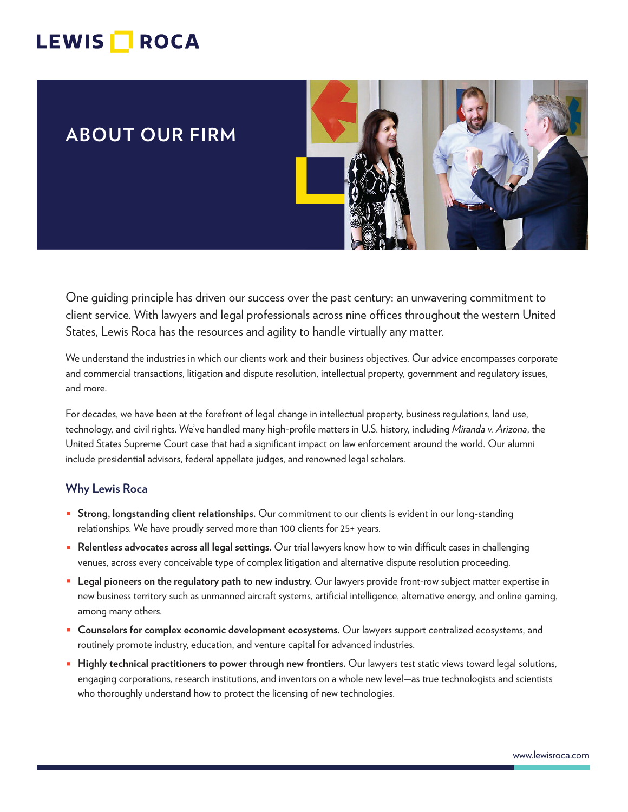# LEWIS **NOCA**

# **ABOUT OUR FIRM**



One guiding principle has driven our success over the past century: an unwavering commitment to client service. With lawyers and legal professionals across nine offices throughout the western United States, Lewis Roca has the resources and agility to handle virtually any matter.

We understand the industries in which our clients work and their business objectives. Our advice encompasses corporate and commercial transactions, litigation and dispute resolution, intellectual property, government and regulatory issues, and more.

For decades, we have been at the forefront of legal change in intellectual property, business regulations, land use, technology, and civil rights. We've handled many high-profile matters in U.S. history, including *Miranda v. Arizona*, the United States Supreme Court case that had a significant impact on law enforcement around the world. Our alumni include presidential advisors, federal appellate judges, and renowned legal scholars.

#### **Why Lewis Roca**

- **Strong, longstanding client relationships.** Our commitment to our clients is evident in our long-standing relationships. We have proudly served more than 100 clients for 25+ years.
- **Relentless advocates across all legal settings.** Our trial lawyers know how to win difficult cases in challenging venues, across every conceivable type of complex litigation and alternative dispute resolution proceeding.
- **Legal pioneers on the regulatory path to new industry.** Our lawyers provide front-row subject matter expertise in new business territory such as unmanned aircraft systems, artificial intelligence, alternative energy, and online gaming, among many others.
- **Counselors for complex economic development ecosystems.** Our lawyers support centralized ecosystems, and routinely promote industry, education, and venture capital for advanced industries.
- **Highly technical practitioners to power through new frontiers.** Our lawyers test static views toward legal solutions, engaging corporations, research institutions, and inventors on a whole new level—as true technologists and scientists who thoroughly understand how to protect the licensing of new technologies.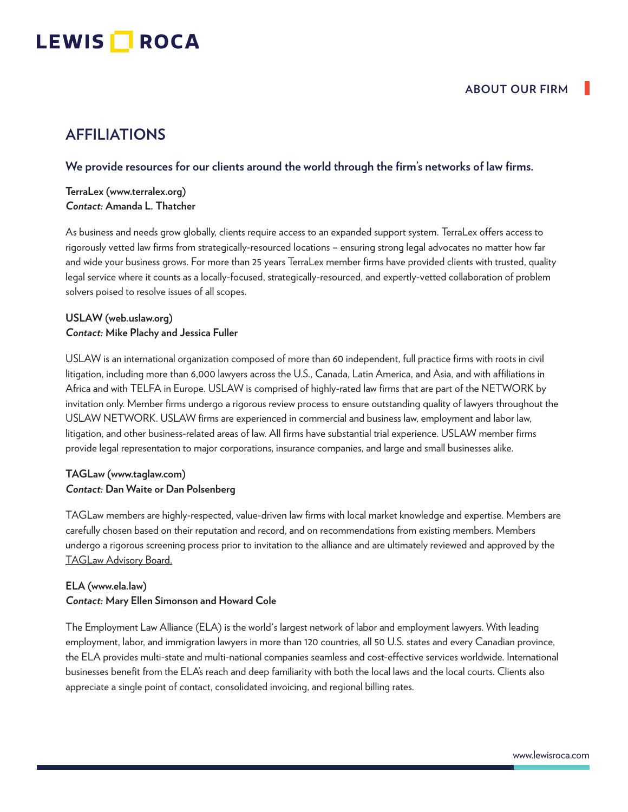# LEWIS **NOCA**

## **AFFILIATIONS**

#### **We provide resources for our clients around the world through the firm's networks of law firms.**

**TerraLex (www.terralex.org)** *Contact:* **Amanda L. Thatcher**

As business and needs grow globally, clients require access to an expanded support system. TerraLex offers access to rigorously vetted law firms from strategically-resourced locations – ensuring strong legal advocates no matter how far and wide your business grows. For more than 25 years TerraLex member firms have provided clients with trusted, quality legal service where it counts as a locally-focused, strategically-resourced, and expertly-vetted collaboration of problem solvers poised to resolve issues of all scopes.

#### **USLAW (web.uslaw.org)** *Contact:* **Mike Plachy and Jessica Fuller**

USLAW is an international organization composed of more than 60 independent, full practice firms with roots in civil litigation, including more than 6,000 lawyers across the U.S., Canada, Latin America, and Asia, and with affiliations in Africa and with TELFA in Europe. USLAW is comprised of highly-rated law firms that are part of the NETWORK by invitation only. Member firms undergo a rigorous review process to ensure outstanding quality of lawyers throughout the USLAW NETWORK. USLAW firms are experienced in commercial and business law, employment and labor law, litigation, and other business-related areas of law. All firms have substantial trial experience. USLAW member firms provide legal representation to major corporations, insurance companies, and large and small businesses alike.

#### **TAGLaw (www.taglaw.com)** *Contact:* **Dan Waite or Dan Polsenberg**

TAGLaw members are highly-respected, value-driven law firms with local market knowledge and expertise. Members are carefully chosen based on their reputation and record, and on recommendations from existing members. Members undergo a rigorous screening process prior to invitation to the alliance and are ultimately reviewed and approved by the TAGLaw Advisory Board.

### **ELA (www.ela.law)** *Contact:* **Mary Ellen Simonson and Howard Cole**

The Employment Law Alliance (ELA) is the world's largest network of labor and employment lawyers. With leading employment, labor, and immigration lawyers in more than 120 countries, all 50 U.S. states and every Canadian province, the ELA provides multi-state and multi-national companies seamless and cost-effective services worldwide. International businesses benefit from the ELA's reach and deep familiarity with both the local laws and the local courts. Clients also appreciate a single point of contact, consolidated invoicing, and regional billing rates.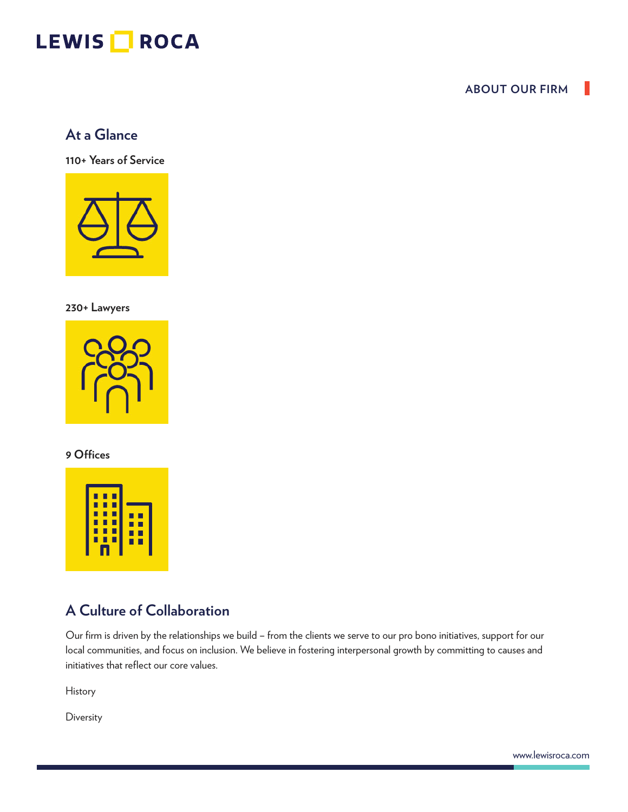# LEWIS **ROCA**

### **ABOUT OUR FIRM**

## **At a Glance**

**110+ Years of Service**



**230+ Lawyers**



### **9 Offices**



## **A Culture of Collaboration**

Our firm is driven by the relationships we build – from the clients we serve to our pro bono initiatives, support for our local communities, and focus on inclusion. We believe in fostering interpersonal growth by committing to causes and initiatives that reflect our core values.

History

**Diversity**